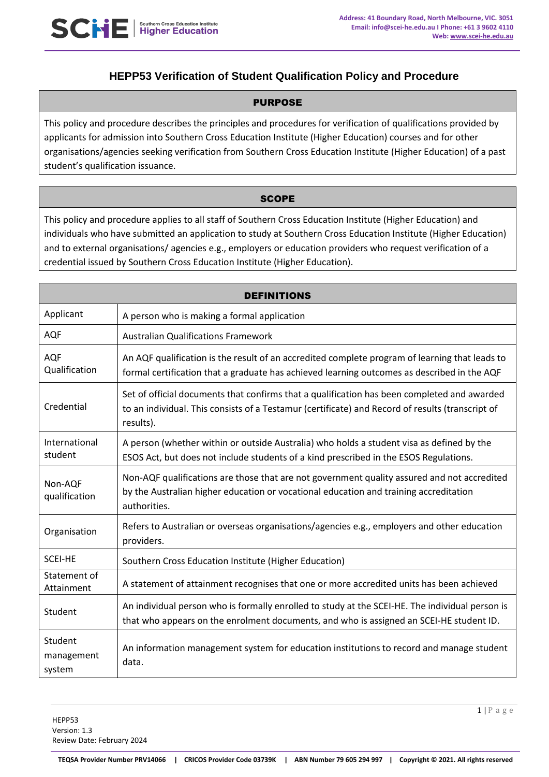# **HEPP53 Verification of Student Qualification Policy and Procedure**

#### PURPOSE

This policy and procedure describes the principles and procedures for verification of qualifications provided by applicants for admission into Southern Cross Education Institute (Higher Education) courses and for other organisations/agencies seeking verification from Southern Cross Education Institute (Higher Education) of a past student's qualification issuance.

# **SCOPE**

This policy and procedure applies to all staff of Southern Cross Education Institute (Higher Education) and individuals who have submitted an application to study at Southern Cross Education Institute (Higher Education) and to external organisations/ agencies e.g., employers or education providers who request verification of a credential issued by Southern Cross Education Institute (Higher Education).

| <b>DEFINITIONS</b>              |                                                                                                                                                                                                              |  |
|---------------------------------|--------------------------------------------------------------------------------------------------------------------------------------------------------------------------------------------------------------|--|
| Applicant                       | A person who is making a formal application                                                                                                                                                                  |  |
| <b>AQF</b>                      | <b>Australian Qualifications Framework</b>                                                                                                                                                                   |  |
| AQF<br>Qualification            | An AQF qualification is the result of an accredited complete program of learning that leads to<br>formal certification that a graduate has achieved learning outcomes as described in the AQF                |  |
| Credential                      | Set of official documents that confirms that a qualification has been completed and awarded<br>to an individual. This consists of a Testamur (certificate) and Record of results (transcript of<br>results). |  |
| International<br>student        | A person (whether within or outside Australia) who holds a student visa as defined by the<br>ESOS Act, but does not include students of a kind prescribed in the ESOS Regulations.                           |  |
| Non-AQF<br>qualification        | Non-AQF qualifications are those that are not government quality assured and not accredited<br>by the Australian higher education or vocational education and training accreditation<br>authorities.         |  |
| Organisation                    | Refers to Australian or overseas organisations/agencies e.g., employers and other education<br>providers.                                                                                                    |  |
| <b>SCEI-HE</b>                  | Southern Cross Education Institute (Higher Education)                                                                                                                                                        |  |
| Statement of<br>Attainment      | A statement of attainment recognises that one or more accredited units has been achieved                                                                                                                     |  |
| Student                         | An individual person who is formally enrolled to study at the SCEI-HE. The individual person is<br>that who appears on the enrolment documents, and who is assigned an SCEI-HE student ID.                   |  |
| Student<br>management<br>system | An information management system for education institutions to record and manage student<br>data.                                                                                                            |  |

1 | P a g e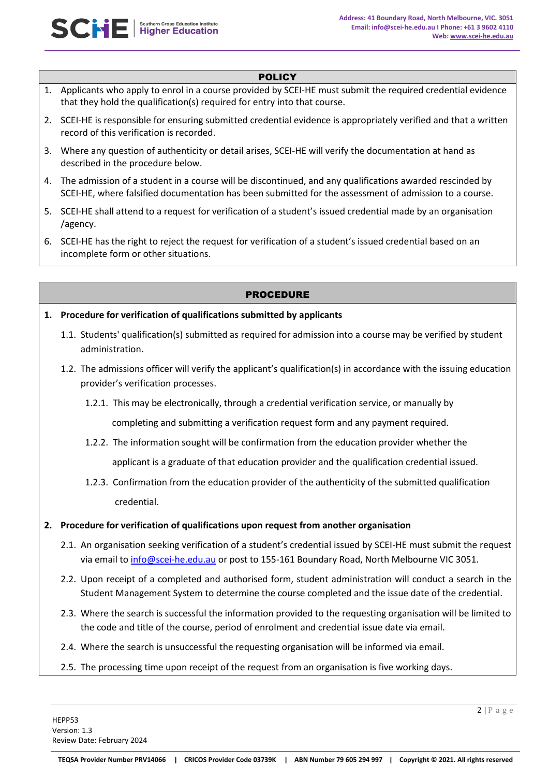#### **POLICY**

- 1. Applicants who apply to enrol in a course provided by SCEI-HE must submit the required credential evidence that they hold the qualification(s) required for entry into that course.
- 2. SCEI-HE is responsible for ensuring submitted credential evidence is appropriately verified and that a written record of this verification is recorded.
- 3. Where any question of authenticity or detail arises, SCEI-HE will verify the documentation at hand as described in the procedure below.
- 4. The admission of a student in a course will be discontinued, and any qualifications awarded rescinded by SCEI-HE, where falsified documentation has been submitted for the assessment of admission to a course.
- 5. SCEI-HE shall attend to a request for verification of a student's issued credential made by an organisation /agency.
- 6. SCEI-HE has the right to reject the request for verification of a student's issued credential based on an incomplete form or other situations.

# PROCEDURE

- **1. Procedure for verification of qualifications submitted by applicants**
	- 1.1. Students' qualification(s) submitted as required for admission into a course may be verified by student administration.
	- 1.2. The admissions officer will verify the applicant's qualification(s) in accordance with the issuing education provider's verification processes.
		- 1.2.1. This may be electronically, through a credential verification service, or manually by

completing and submitting a verification request form and any payment required.

1.2.2. The information sought will be confirmation from the education provider whether the

applicant is a graduate of that education provider and the qualification credential issued.

1.2.3. Confirmation from the education provider of the authenticity of the submitted qualification credential.

#### **2. Procedure for verification of qualifications upon request from another organisation**

- 2.1. An organisation seeking verification of a student's credential issued by SCEI-HE must submit the request via email to [info@scei-he.edu.au](mailto:info@scei-he.edu.au) or post to 155-161 Boundary Road, North Melbourne VIC 3051.
- 2.2. Upon receipt of a completed and authorised form, student administration will conduct a search in the Student Management System to determine the course completed and the issue date of the credential.
- 2.3. Where the search is successful the information provided to the requesting organisation will be limited to the code and title of the course, period of enrolment and credential issue date via email.
- 2.4. Where the search is unsuccessful the requesting organisation will be informed via email.
- 2.5. The processing time upon receipt of the request from an organisation is five working days.